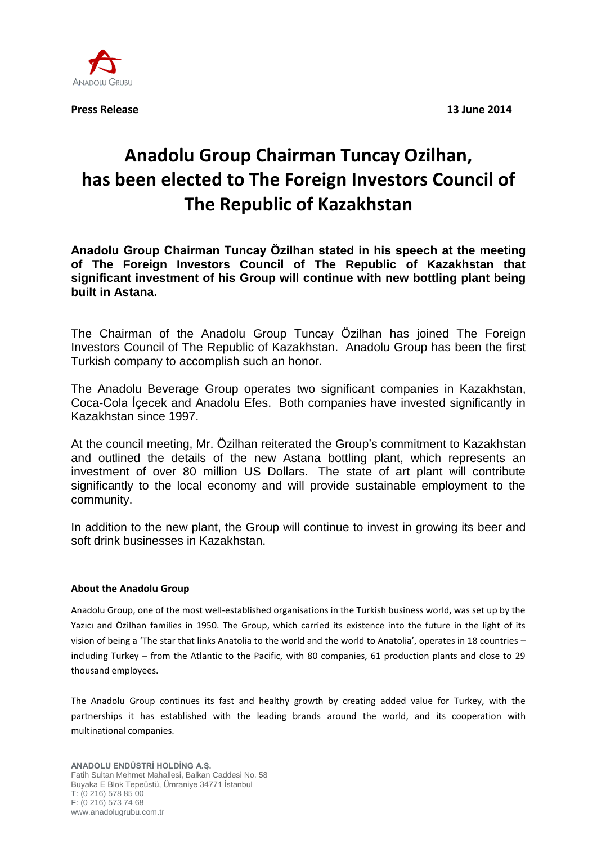

## **Anadolu Group Chairman Tuncay Ozilhan, has been elected to The Foreign Investors Council of The Republic of Kazakhstan**

**Anadolu Group Chairman Tuncay Özilhan stated in his speech at the meeting of The Foreign Investors Council of The Republic of Kazakhstan that significant investment of his Group will continue with new bottling plant being built in Astana.**

The Chairman of the Anadolu Group Tuncay Özilhan has joined The Foreign Investors Council of The Republic of Kazakhstan. Anadolu Group has been the first Turkish company to accomplish such an honor.

The Anadolu Beverage Group operates two significant companies in Kazakhstan, Coca-Cola İçecek and Anadolu Efes. Both companies have invested significantly in Kazakhstan since 1997.

At the council meeting, Mr. Özilhan reiterated the Group's commitment to Kazakhstan and outlined the details of the new Astana bottling plant, which represents an investment of over 80 million US Dollars. The state of art plant will contribute significantly to the local economy and will provide sustainable employment to the community.

In addition to the new plant, the Group will continue to invest in growing its beer and soft drink businesses in Kazakhstan.

## **About the Anadolu Group**

Anadolu Group, one of the most well-established organisations in the Turkish business world, was set up by the Yazıcı and Özilhan families in 1950. The Group, which carried its existence into the future in the light of its vision of being a 'The star that links Anatolia to the world and the world to Anatolia', operates in 18 countries – including Turkey – from the Atlantic to the Pacific, with 80 companies, 61 production plants and close to 29 thousand employees.

The Anadolu Group continues its fast and healthy growth by creating added value for Turkey, with the partnerships it has established with the leading brands around the world, and its cooperation with multinational companies.